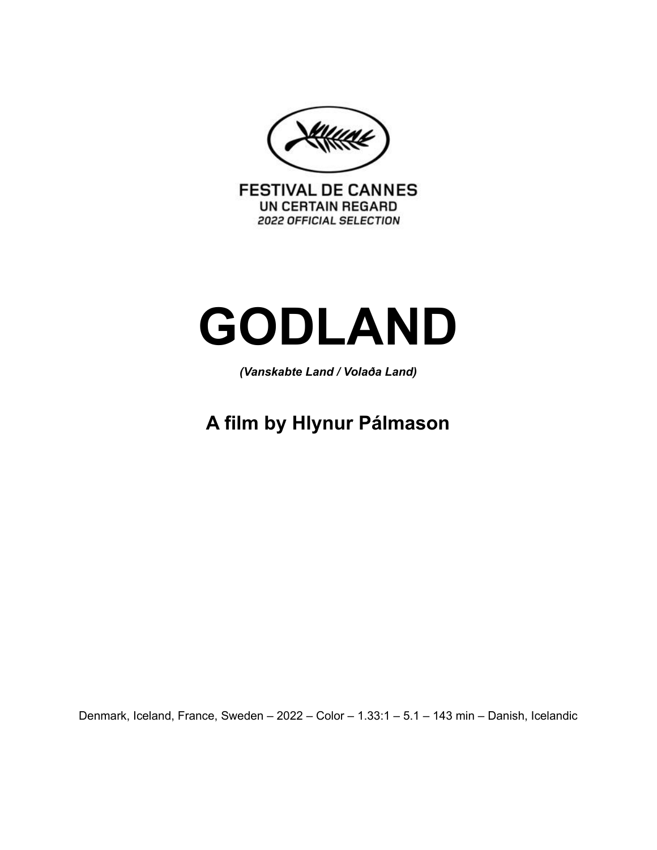**FESTIVAL DE CANNES** UN CERTAIN REGARD **2022 OFFICIAL SELECTION** 

# **GODLAND**

*(Vanskabte Land / Volaða Land)*

**A film by Hlynur Pálmason**

Denmark, Iceland, France, Sweden – 2022 – Color – 1.33:1 – 5.1 – 143 min – Danish, Icelandic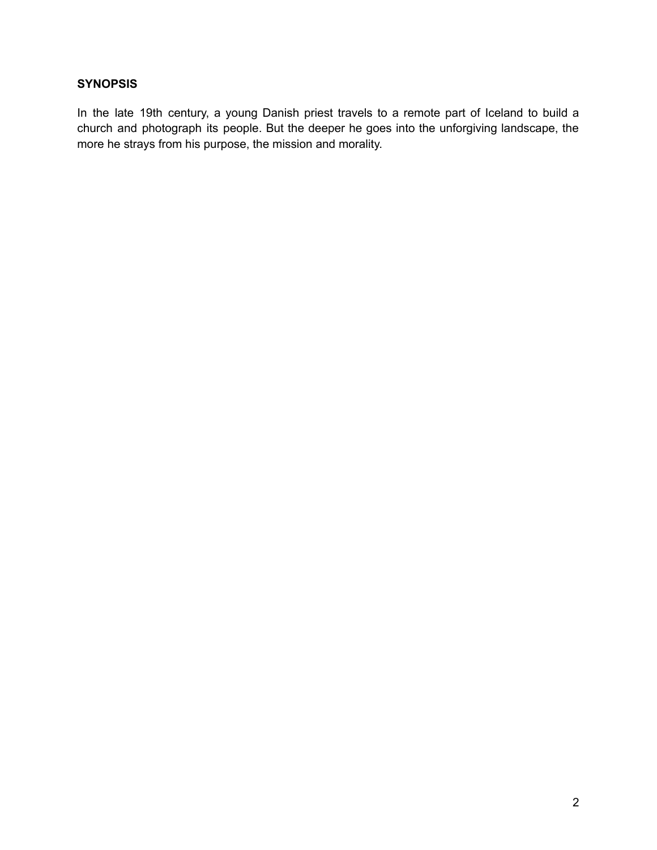# **SYNOPSIS**

In the late 19th century, a young Danish priest travels to a remote part of Iceland to build a church and photograph its people. But the deeper he goes into the unforgiving landscape, the more he strays from his purpose, the mission and morality.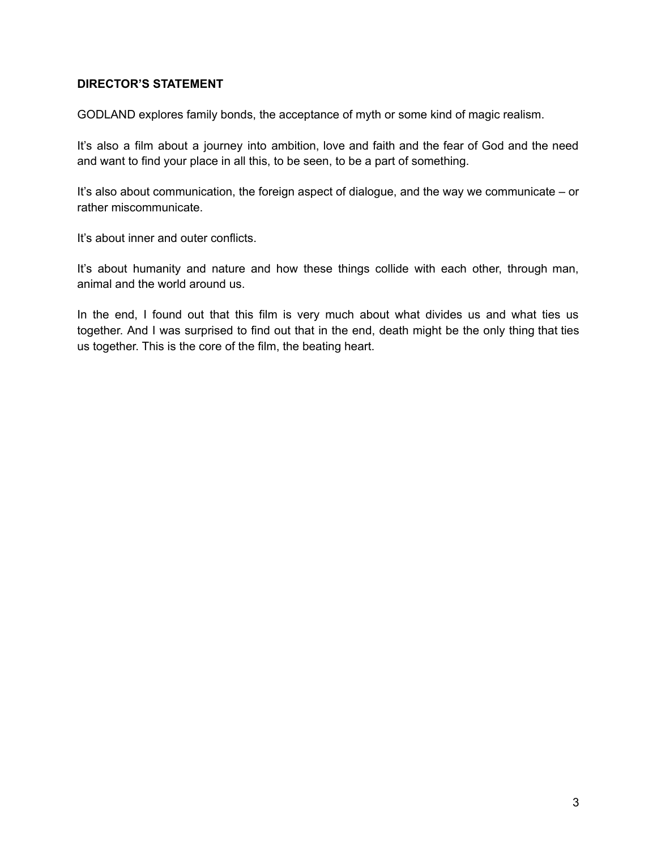# **DIRECTOR'S STATEMENT**

GODLAND explores family bonds, the acceptance of myth or some kind of magic realism.

It's also a film about a journey into ambition, love and faith and the fear of God and the need and want to find your place in all this, to be seen, to be a part of something.

It's also about communication, the foreign aspect of dialogue, and the way we communicate – or rather miscommunicate.

It's about inner and outer conflicts.

It's about humanity and nature and how these things collide with each other, through man, animal and the world around us.

In the end, I found out that this film is very much about what divides us and what ties us together. And I was surprised to find out that in the end, death might be the only thing that ties us together. This is the core of the film, the beating heart.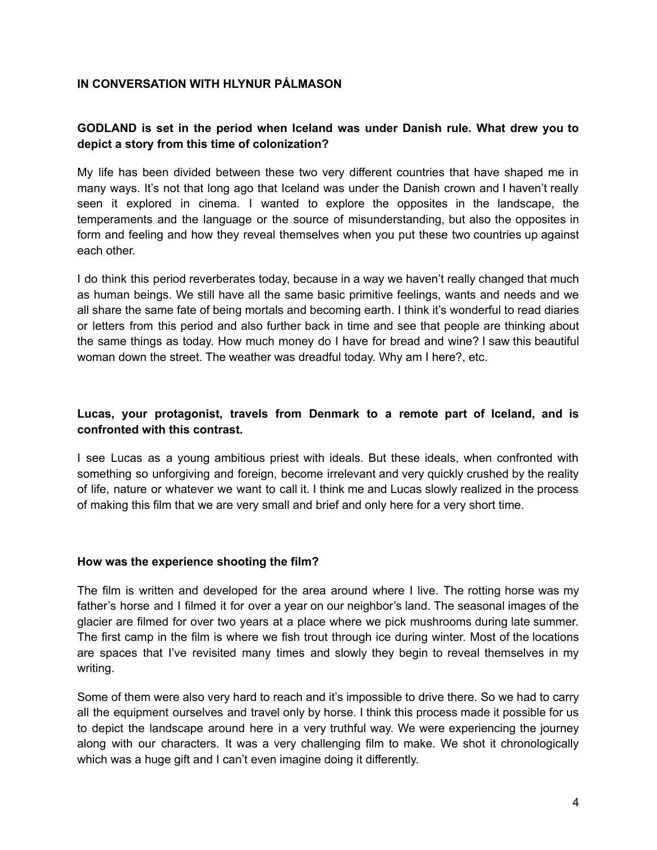# **IN CONVERSATION WITH HLYNUR PÁLMASON**

# **GODLAND is set in the period when Iceland was under Danish rule. What drew you to depict a story from this time of colonization?**

My life has been divided between these two very different countries that have shaped me in many ways. It's not that long ago that Iceland was under the Danish crown and I haven't really seen it explored in cinema. I wanted to explore the opposites in the landscape, the temperaments and the language or the source of misunderstanding, but also the opposites in form and feeling and how they reveal themselves when you put these two countries up against each other.

I do think this period reverberates today, because in a way we haven't really changed that much as human beings. We still have all the same basic primitive feelings, wants and needs and we all share the same fate of being mortals and becoming earth. I think it's wonderful to read diaries or letters from this period and also further back in time and see that people are thinking about the same things as today. How much money do I have for bread and wine? I saw this beautiful woman down the street. The weather was dreadful today. Why am I here?, etc.

# **Lucas, your protagonist, travels from Denmark to a remote part of Iceland, and is confronted with this contrast.**

I see Lucas as a young ambitious priest with ideals. But these ideals, when confronted with something so unforgiving and foreign, become irrelevant and very quickly crushed by the reality of life, nature or whatever we want to call it. I think me and Lucas slowly realized in the process of making this film that we are very small and brief and only here for a very short time.

#### **How was the experience shooting the film?**

The film is written and developed for the area around where I live. The rotting horse was my father's horse and I filmed it for over a year on our neighbor's land. The seasonal images of the glacier are filmed for over two years at a place where we pick mushrooms during late summer. The first camp in the film is where we fish trout through ice during winter. Most of the locations are spaces that I've revisited many times and slowly they begin to reveal themselves in my writing.

Some of them were also very hard to reach and it's impossible to drive there. So we had to carry all the equipment ourselves and travel only by horse. I think this process made it possible for us to depict the landscape around here in a very truthful way. We were experiencing the journey along with our characters. It was a very challenging film to make. We shot it chronologically which was a huge gift and I can't even imagine doing it differently.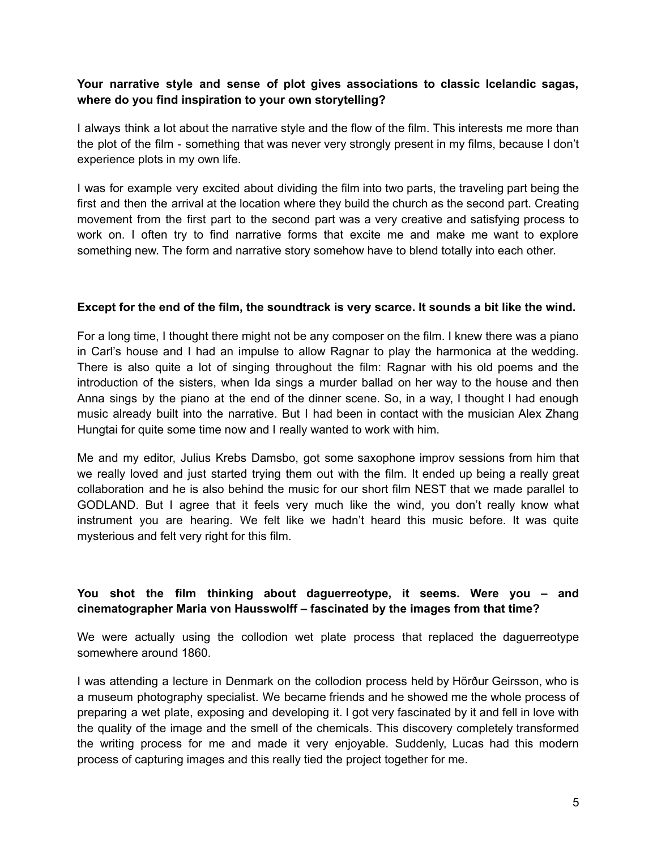## **Your narrative style and sense of plot gives associations to classic Icelandic sagas, where do you find inspiration to your own storytelling?**

I always think a lot about the narrative style and the flow of the film. This interests me more than the plot of the film - something that was never very strongly present in my films, because I don't experience plots in my own life.

I was for example very excited about dividing the film into two parts, the traveling part being the first and then the arrival at the location where they build the church as the second part. Creating movement from the first part to the second part was a very creative and satisfying process to work on. I often try to find narrative forms that excite me and make me want to explore something new. The form and narrative story somehow have to blend totally into each other.

#### Except for the end of the film, the soundtrack is very scarce. It sounds a bit like the wind.

For a long time, I thought there might not be any composer on the film. I knew there was a piano in Carl's house and I had an impulse to allow Ragnar to play the harmonica at the wedding. There is also quite a lot of singing throughout the film: Ragnar with his old poems and the introduction of the sisters, when Ida sings a murder ballad on her way to the house and then Anna sings by the piano at the end of the dinner scene. So, in a way, I thought I had enough music already built into the narrative. But I had been in contact with the musician Alex Zhang Hungtai for quite some time now and I really wanted to work with him.

Me and my editor, Julius Krebs Damsbo, got some saxophone improv sessions from him that we really loved and just started trying them out with the film. It ended up being a really great collaboration and he is also behind the music for our short film NEST that we made parallel to GODLAND. But I agree that it feels very much like the wind, you don't really know what instrument you are hearing. We felt like we hadn't heard this music before. It was quite mysterious and felt very right for this film.

# **You shot the film thinking about daguerreotype, it seems. Were you – and cinematographer Maria von Hausswolff – fascinated by the images from that time?**

We were actually using the collodion wet plate process that replaced the daguerreotype somewhere around 1860.

I was attending a lecture in Denmark on the collodion process held by Hörður Geirsson, who is a museum photography specialist. We became friends and he showed me the whole process of preparing a wet plate, exposing and developing it. I got very fascinated by it and fell in love with the quality of the image and the smell of the chemicals. This discovery completely transformed the writing process for me and made it very enjoyable. Suddenly, Lucas had this modern process of capturing images and this really tied the project together for me.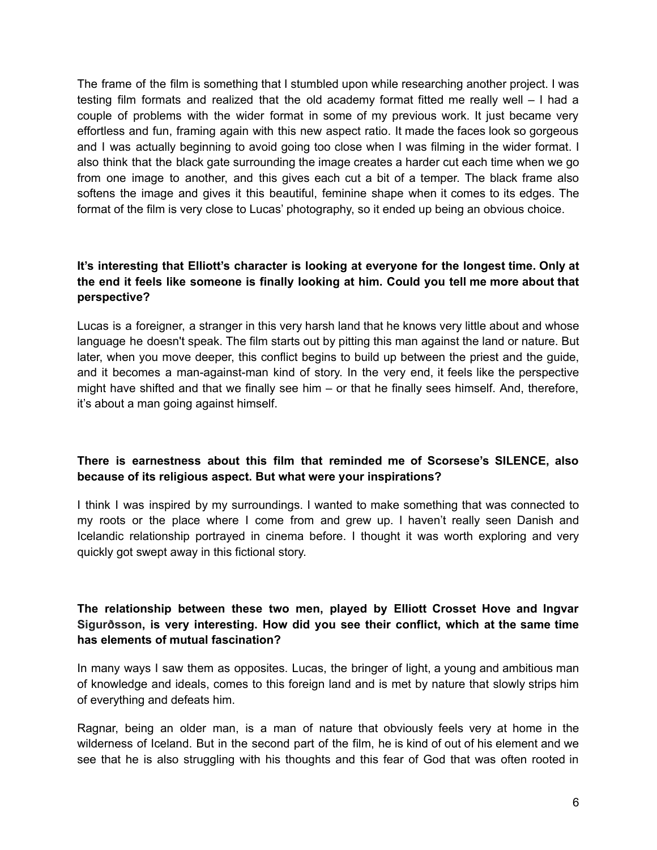The frame of the film is something that I stumbled upon while researching another project. I was testing film formats and realized that the old academy format fitted me really well – I had a couple of problems with the wider format in some of my previous work. It just became very effortless and fun, framing again with this new aspect ratio. It made the faces look so gorgeous and I was actually beginning to avoid going too close when I was filming in the wider format. I also think that the black gate surrounding the image creates a harder cut each time when we go from one image to another, and this gives each cut a bit of a temper. The black frame also softens the image and gives it this beautiful, feminine shape when it comes to its edges. The format of the film is very close to Lucas' photography, so it ended up being an obvious choice.

# **It's interesting that Elliott's character is looking at everyone for the longest time. Only at the end it feels like someone is finally looking at him. Could you tell me more about that perspective?**

Lucas is a foreigner, a stranger in this very harsh land that he knows very little about and whose language he doesn't speak. The film starts out by pitting this man against the land or nature. But later, when you move deeper, this conflict begins to build up between the priest and the guide, and it becomes a man-against-man kind of story. In the very end, it feels like the perspective might have shifted and that we finally see him  $-$  or that he finally sees himself. And, therefore, it's about a man going against himself.

# **There is earnestness about this film that reminded me of Scorsese's SILENCE, also because of its religious aspect. But what were your inspirations?**

I think I was inspired by my surroundings. I wanted to make something that was connected to my roots or the place where I come from and grew up. I haven't really seen Danish and Icelandic relationship portrayed in cinema before. I thought it was worth exploring and very quickly got swept away in this fictional story.

# **The relationship between these two men, played by Elliott Crosset Hove and Ingvar Sigurðsson, is very interesting. How did you see their conflict, which at the same time has elements of mutual fascination?**

In many ways I saw them as opposites. Lucas, the bringer of light, a young and ambitious man of knowledge and ideals, comes to this foreign land and is met by nature that slowly strips him of everything and defeats him.

Ragnar, being an older man, is a man of nature that obviously feels very at home in the wilderness of Iceland. But in the second part of the film, he is kind of out of his element and we see that he is also struggling with his thoughts and this fear of God that was often rooted in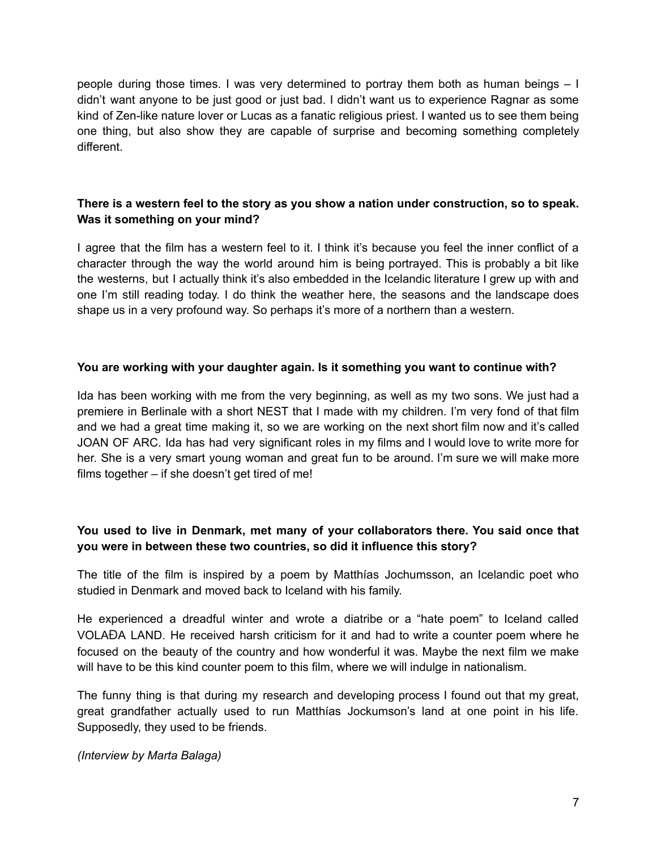people during those times. I was very determined to portray them both as human beings – I didn't want anyone to be just good or just bad. I didn't want us to experience Ragnar as some kind of Zen-like nature lover or Lucas as a fanatic religious priest. I wanted us to see them being one thing, but also show they are capable of surprise and becoming something completely different.

# **There is a western feel to the story as you show a nation under construction, so to speak. Was it something on your mind?**

I agree that the film has a western feel to it. I think it's because you feel the inner conflict of a character through the way the world around him is being portrayed. This is probably a bit like the westerns, but I actually think it's also embedded in the Icelandic literature I grew up with and one I'm still reading today. I do think the weather here, the seasons and the landscape does shape us in a very profound way. So perhaps it's more of a northern than a western.

# **You are working with your daughter again. Is it something you want to continue with?**

Ida has been working with me from the very beginning, as well as my two sons. We just had a premiere in Berlinale with a short NEST that I made with my children. I'm very fond of that film and we had a great time making it, so we are working on the next short film now and it's called JOAN OF ARC. Ida has had very significant roles in my films and I would love to write more for her. She is a very smart young woman and great fun to be around. I'm sure we will make more films together – if she doesn't get tired of me!

# **You used to live in Denmark, met many of your collaborators there. You said once that you were in between these two countries, so did it influence this story?**

The title of the film is inspired by a poem by Matthías Jochumsson, an Icelandic poet who studied in Denmark and moved back to Iceland with his family.

He experienced a dreadful winter and wrote a diatribe or a "hate poem" to Iceland called VOLAÐA LAND. He received harsh criticism for it and had to write a counter poem where he focused on the beauty of the country and how wonderful it was. Maybe the next film we make will have to be this kind counter poem to this film, where we will indulge in nationalism.

The funny thing is that during my research and developing process I found out that my great, great grandfather actually used to run Matthías Jockumson's land at one point in his life. Supposedly, they used to be friends.

*(Interview by Marta Balaga)*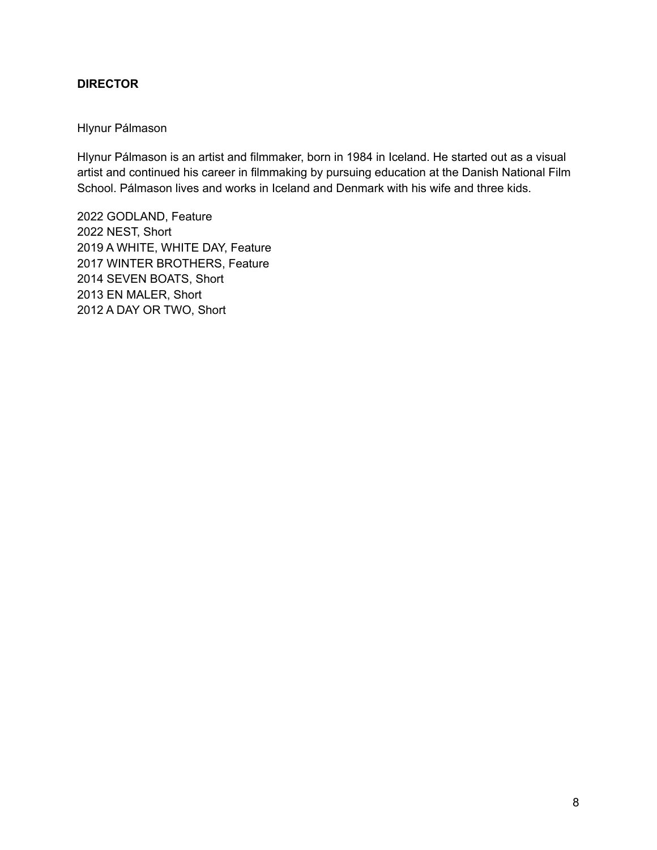# **DIRECTOR**

#### Hlynur Pálmason

Hlynur Pálmason is an artist and filmmaker, born in 1984 in Iceland. He started out as a visual artist and continued his career in filmmaking by pursuing education at the Danish National Film School. Pálmason lives and works in Iceland and Denmark with his wife and three kids.

 GODLAND, Feature NEST, Short A WHITE, WHITE DAY, Feature WINTER BROTHERS, Feature SEVEN BOATS, Short EN MALER, Short A DAY OR TWO, Short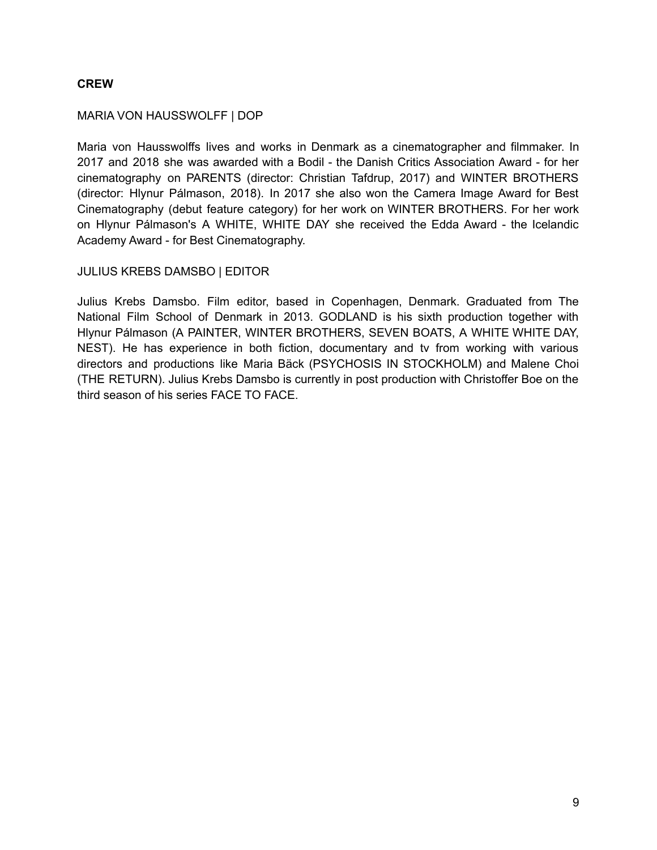# **CREW**

#### MARIA VON HAUSSWOLFF | DOP

Maria von Hausswolffs lives and works in Denmark as a cinematographer and filmmaker. In 2017 and 2018 she was awarded with a Bodil - the Danish Critics Association Award - for her cinematography on PARENTS (director: Christian Tafdrup, 2017) and WINTER BROTHERS (director: Hlynur Pálmason, 2018). In 2017 she also won the Camera Image Award for Best Cinematography (debut feature category) for her work on WINTER BROTHERS. For her work on Hlynur Pálmason's A WHITE, WHITE DAY she received the Edda Award - the Icelandic Academy Award - for Best Cinematography.

#### JULIUS KREBS DAMSBO | EDITOR

Julius Krebs Damsbo. Film editor, based in Copenhagen, Denmark. Graduated from The National Film School of Denmark in 2013. GODLAND is his sixth production together with Hlynur Pálmason (A PAINTER, WINTER BROTHERS, SEVEN BOATS, A WHITE WHITE DAY, NEST). He has experience in both fiction, documentary and tv from working with various directors and productions like Maria Bäck (PSYCHOSIS IN STOCKHOLM) and Malene Choi (THE RETURN). Julius Krebs Damsbo is currently in post production with Christoffer Boe on the third season of his series FACE TO FACE.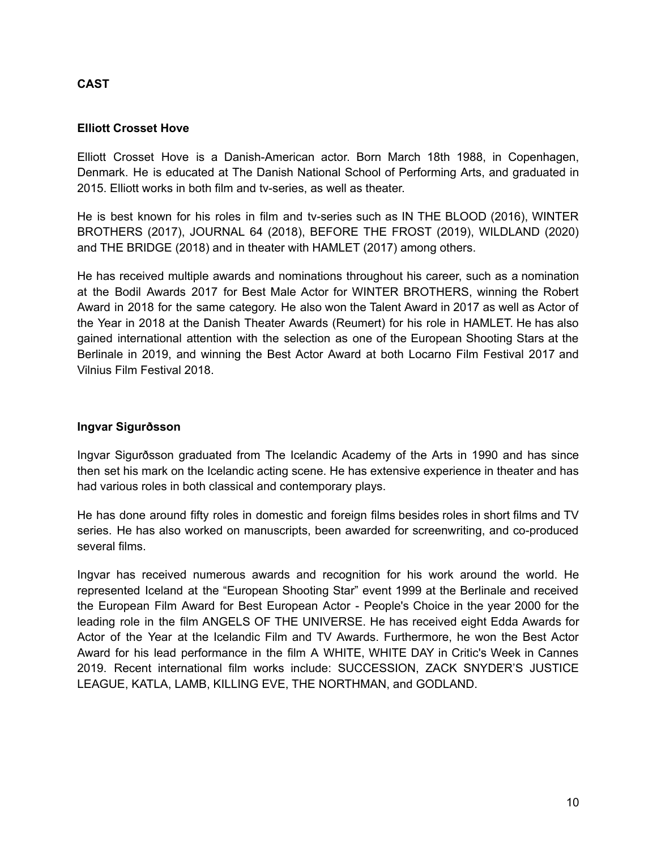# **CAST**

#### **Elliott Crosset Hove**

Elliott Crosset Hove is a Danish-American actor. Born March 18th 1988, in Copenhagen, Denmark. He is educated at The Danish National School of Performing Arts, and graduated in 2015. Elliott works in both film and tv-series, as well as theater.

He is best known for his roles in film and tv-series such as IN THE BLOOD (2016), WINTER BROTHERS (2017), JOURNAL 64 (2018), BEFORE THE FROST (2019), WILDLAND (2020) and THE BRIDGE (2018) and in theater with HAMLET (2017) among others.

He has received multiple awards and nominations throughout his career, such as a nomination at the Bodil Awards 2017 for Best Male Actor for WINTER BROTHERS, winning the Robert Award in 2018 for the same category. He also won the Talent Award in 2017 as well as Actor of the Year in 2018 at the Danish Theater Awards (Reumert) for his role in HAMLET. He has also gained international attention with the selection as one of the European Shooting Stars at the Berlinale in 2019, and winning the Best Actor Award at both Locarno Film Festival 2017 and Vilnius Film Festival 2018.

#### **Ingvar Sigurðsson**

Ingvar Sigurðsson graduated from The Icelandic Academy of the Arts in 1990 and has since then set his mark on the Icelandic acting scene. He has extensive experience in theater and has had various roles in both classical and contemporary plays.

He has done around fifty roles in domestic and foreign films besides roles in short films and TV series. He has also worked on manuscripts, been awarded for screenwriting, and co-produced several films.

Ingvar has received numerous awards and recognition for his work around the world. He represented Iceland at the "European Shooting Star" event 1999 at the Berlinale and received the European Film Award for Best European Actor - People's Choice in the year 2000 for the leading role in the film ANGELS OF THE UNIVERSE. He has received eight Edda Awards for Actor of the Year at the Icelandic Film and TV Awards. Furthermore, he won the Best Actor Award for his lead performance in the film A WHITE, WHITE DAY in Critic's Week in Cannes 2019. Recent international film works include: SUCCESSION, ZACK SNYDER'S JUSTICE LEAGUE, KATLA, LAMB, KILLING EVE, THE NORTHMAN, and GODLAND.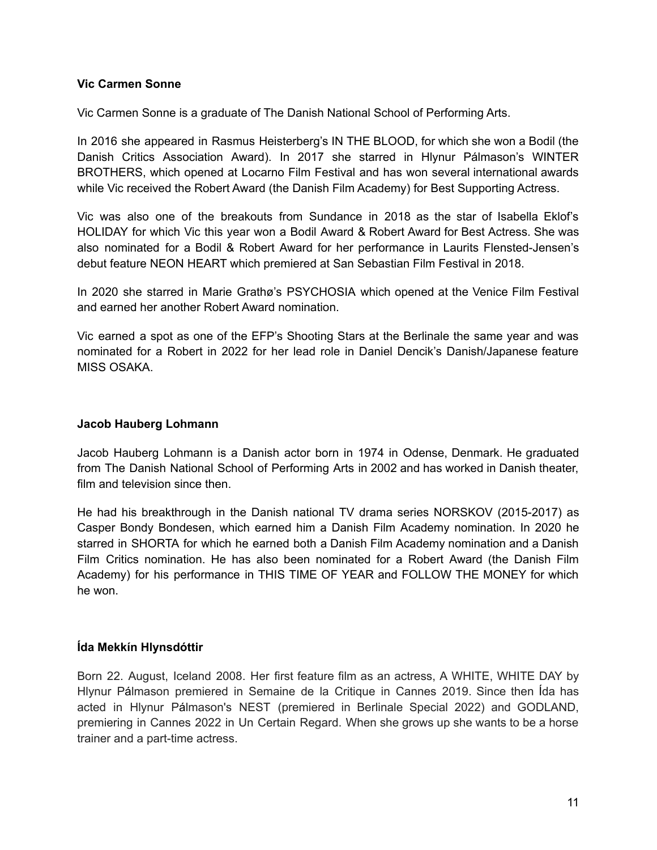#### **Vic Carmen Sonne**

Vic Carmen Sonne is a graduate of The Danish National School of Performing Arts.

In 2016 she appeared in Rasmus Heisterberg's IN THE BLOOD, for which she won a Bodil (the Danish Critics Association Award). In 2017 she starred in Hlynur Pálmason's WINTER BROTHERS, which opened at Locarno Film Festival and has won several international awards while Vic received the Robert Award (the Danish Film Academy) for Best Supporting Actress.

Vic was also one of the breakouts from Sundance in 2018 as the star of Isabella Eklof's HOLIDAY for which Vic this year won a Bodil Award & Robert Award for Best Actress. She was also nominated for a Bodil & Robert Award for her performance in Laurits Flensted-Jensen's debut feature NEON HEART which premiered at San Sebastian Film Festival in 2018.

In 2020 she starred in Marie Grathø's PSYCHOSIA which opened at the Venice Film Festival and earned her another Robert Award nomination.

Vic earned a spot as one of the EFP's Shooting Stars at the Berlinale the same year and was nominated for a Robert in 2022 for her lead role in Daniel Dencik's Danish/Japanese feature MISS OSAKA.

#### **Jacob Hauberg Lohmann**

Jacob Hauberg Lohmann is a Danish actor born in 1974 in Odense, Denmark. He graduated from The Danish National School of Performing Arts in 2002 and has worked in Danish theater, film and television since then.

He had his breakthrough in the Danish national TV drama series NORSKOV (2015-2017) as Casper Bondy Bondesen, which earned him a Danish Film Academy nomination. In 2020 he starred in SHORTA for which he earned both a Danish Film Academy nomination and a Danish Film Critics nomination. He has also been nominated for a Robert Award (the Danish Film Academy) for his performance in THIS TIME OF YEAR and FOLLOW THE MONEY for which he won.

#### **Ída Mekkín Hlynsdóttir**

Born 22. August, Iceland 2008. Her first feature film as an actress, A WHITE, WHITE DAY by Hlynur Pálmason premiered in Semaine de la Critique in Cannes 2019. Since then Ída has acted in Hlynur Pálmason's NEST (premiered in Berlinale Special 2022) and GODLAND, premiering in Cannes 2022 in Un Certain Regard. When she grows up she wants to be a horse trainer and a part-time actress.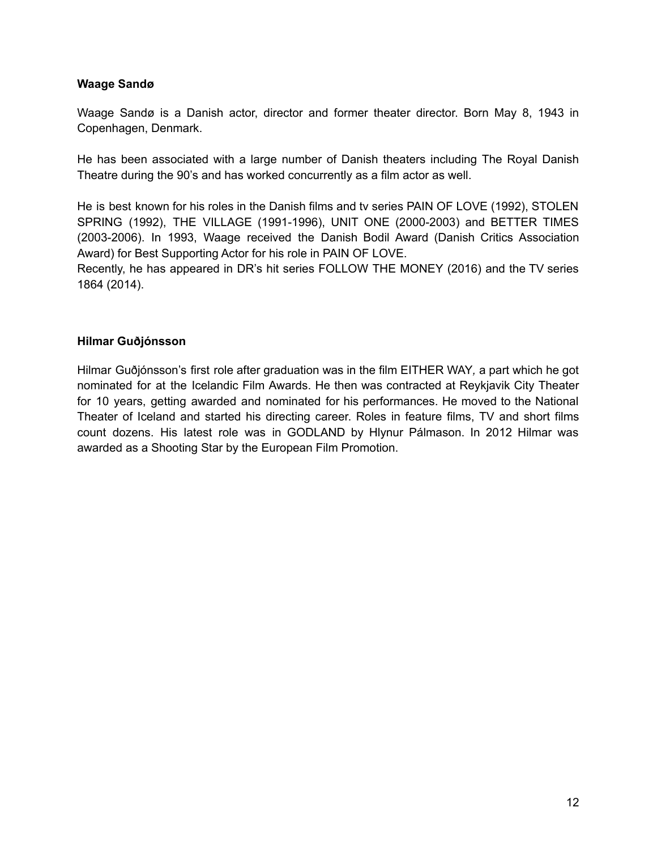#### **Waage Sandø**

Waage Sandø is a Danish actor, director and former theater director. Born May 8, 1943 in Copenhagen, Denmark.

He has been associated with a large number of Danish theaters including The Royal Danish Theatre during the 90's and has worked concurrently as a film actor as well.

He is best known for his roles in the Danish films and tv series PAIN OF LOVE (1992), STOLEN SPRING (1992), THE VILLAGE (1991-1996), UNIT ONE (2000-2003) and BETTER TIMES (2003-2006). In 1993, Waage received the Danish Bodil Award (Danish Critics Association Award) for Best Supporting Actor for his role in PAIN OF LOVE.

Recently, he has appeared in DR's hit series FOLLOW THE MONEY (2016) and the TV series 1864 (2014).

#### **Hilmar Guðjónsson**

Hilmar Guðjónsson's first role after graduation was in the film EITHER WAY*,* a part which he got nominated for at the Icelandic Film Awards. He then was contracted at Reykjavik City Theater for 10 years, getting awarded and nominated for his performances. He moved to the National Theater of Iceland and started his directing career. Roles in feature films, TV and short films count dozens. His latest role was in GODLAND by Hlynur Pálmason. In 2012 Hilmar was awarded as a Shooting Star by the European Film Promotion.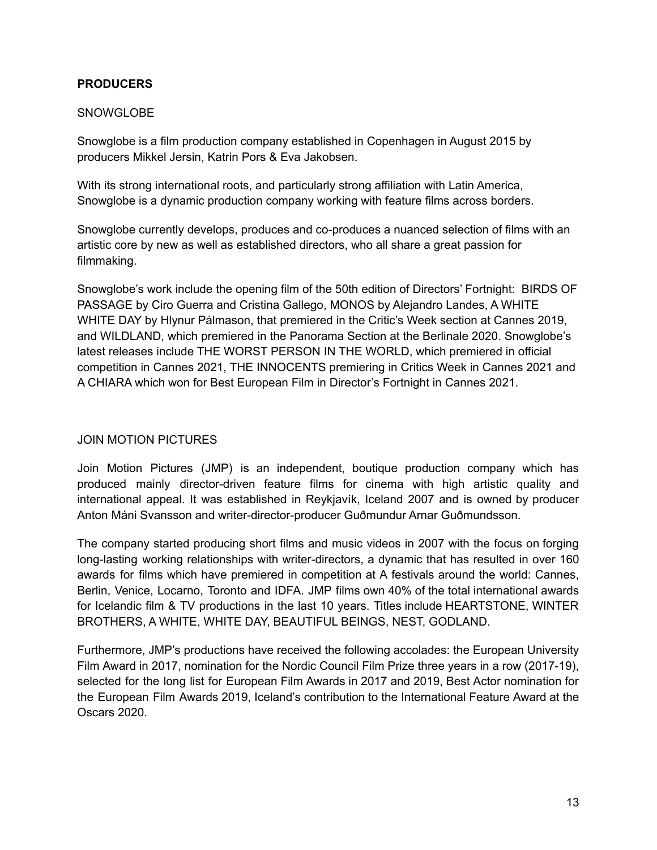#### **PRODUCERS**

#### **SNOWGLOBE**

Snowglobe is a film production company established in Copenhagen in August 2015 by producers Mikkel Jersin, Katrin Pors & Eva Jakobsen.

With its strong international roots, and particularly strong affiliation with Latin America, Snowglobe is a dynamic production company working with feature films across borders.

Snowglobe currently develops, produces and co-produces a nuanced selection of films with an artistic core by new as well as established directors, who all share a great passion for filmmaking.

Snowglobe's work include the opening film of the 50th edition of Directors' Fortnight: BIRDS OF PASSAGE by Ciro Guerra and Cristina Gallego, MONOS by Alejandro Landes, A WHITE WHITE DAY by Hlynur Pálmason, that premiered in the Critic's Week section at Cannes 2019, and WILDLAND, which premiered in the Panorama Section at the Berlinale 2020. Snowglobe's latest releases include THE WORST PERSON IN THE WORLD, which premiered in official competition in Cannes 2021, THE INNOCENTS premiering in Critics Week in Cannes 2021 and A CHIARA which won for Best European Film in Director's Fortnight in Cannes 2021.

# JOIN MOTION PICTURES

Join Motion Pictures (JMP) is an independent, boutique production company which has produced mainly director-driven feature films for cinema with high artistic quality and international appeal. It was established in Reykjavík, Iceland 2007 and is owned by producer Anton Máni Svansson and writer-director-producer Guðmundur Arnar Guðmundsson.

The company started producing short films and music videos in 2007 with the focus on forging long-lasting working relationships with writer-directors, a dynamic that has resulted in over 160 awards for films which have premiered in competition at A festivals around the world: Cannes, Berlin, Venice, Locarno, Toronto and IDFA. JMP films own 40% of the total international awards for Icelandic film & TV productions in the last 10 years. Titles include HEARTSTONE, WINTER BROTHERS, A WHITE, WHITE DAY, BEAUTIFUL BEINGS, NEST, GODLAND.

Furthermore, JMP's productions have received the following accolades: the European University Film Award in 2017, nomination for the Nordic Council Film Prize three years in a row (2017-19), selected for the long list for European Film Awards in 2017 and 2019, Best Actor nomination for the European Film Awards 2019, Iceland's contribution to the International Feature Award at the Oscars 2020.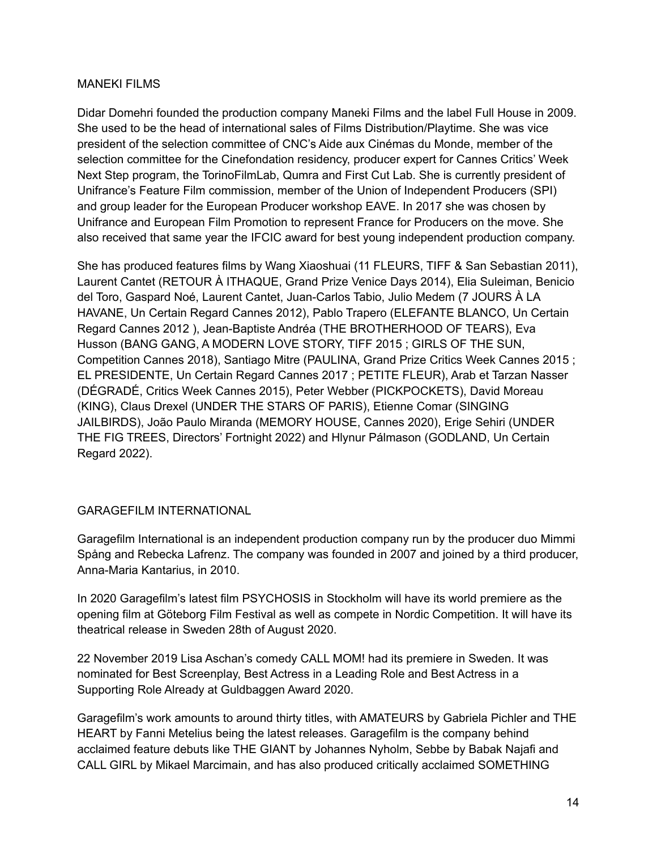#### MANEKI FILMS

Didar Domehri founded the production company Maneki Films and the label Full House in 2009. She used to be the head of international sales of Films Distribution/Playtime. She was vice president of the selection committee of CNC's Aide aux Cinémas du Monde, member of the selection committee for the Cinefondation residency, producer expert for Cannes Critics' Week Next Step program, the TorinoFilmLab, Qumra and First Cut Lab. She is currently president of Unifrance's Feature Film commission, member of the Union of Independent Producers (SPI) and group leader for the European Producer workshop EAVE. In 2017 she was chosen by Unifrance and European Film Promotion to represent France for Producers on the move. She also received that same year the IFCIC award for best young independent production company.

She has produced features films by Wang Xiaoshuai (11 FLEURS, TIFF & San Sebastian 2011), Laurent Cantet (RETOUR À ITHAQUE, Grand Prize Venice Days 2014), Elia Suleiman, Benicio del Toro, Gaspard Noé, Laurent Cantet, Juan-Carlos Tabio, Julio Medem (7 JOURS À LA HAVANE, Un Certain Regard Cannes 2012), Pablo Trapero (ELEFANTE BLANCO, Un Certain Regard Cannes 2012 ), Jean-Baptiste Andréa (THE BROTHERHOOD OF TEARS), Eva Husson (BANG GANG, A MODERN LOVE STORY, TIFF 2015 ; GIRLS OF THE SUN, Competition Cannes 2018), Santiago Mitre (PAULINA, Grand Prize Critics Week Cannes 2015 ; EL PRESIDENTE, Un Certain Regard Cannes 2017 ; PETITE FLEUR), Arab et Tarzan Nasser (DÉGRADÉ, Critics Week Cannes 2015), Peter Webber (PICKPOCKETS), David Moreau (KING), Claus Drexel (UNDER THE STARS OF PARIS), Etienne Comar (SINGING JAILBIRDS), João Paulo Miranda (MEMORY HOUSE, Cannes 2020), Erige Sehiri (UNDER THE FIG TREES, Directors' Fortnight 2022) and Hlynur Pálmason (GODLAND, Un Certain Regard 2022).

# GARAGEFILM INTERNATIONAL

Garagefilm International is an independent production company run by the producer duo Mimmi Spång and Rebecka Lafrenz. The company was founded in 2007 and joined by a third producer, Anna-Maria Kantarius, in 2010.

In 2020 Garagefilm's latest film PSYCHOSIS in Stockholm will have its world premiere as the opening film at Göteborg Film Festival as well as compete in Nordic Competition. It will have its theatrical release in Sweden 28th of August 2020.

22 November 2019 Lisa Aschan's comedy CALL MOM! had its premiere in Sweden. It was nominated for Best Screenplay, Best Actress in a Leading Role and Best Actress in a Supporting Role Already at Guldbaggen Award 2020.

Garagefilm's work amounts to around thirty titles, with AMATEURS by Gabriela Pichler and THE HEART by Fanni Metelius being the latest releases. Garagefilm is the company behind acclaimed feature debuts like THE GIANT by Johannes Nyholm, Sebbe by Babak Najafi and CALL GIRL by Mikael Marcimain, and has also produced critically acclaimed SOMETHING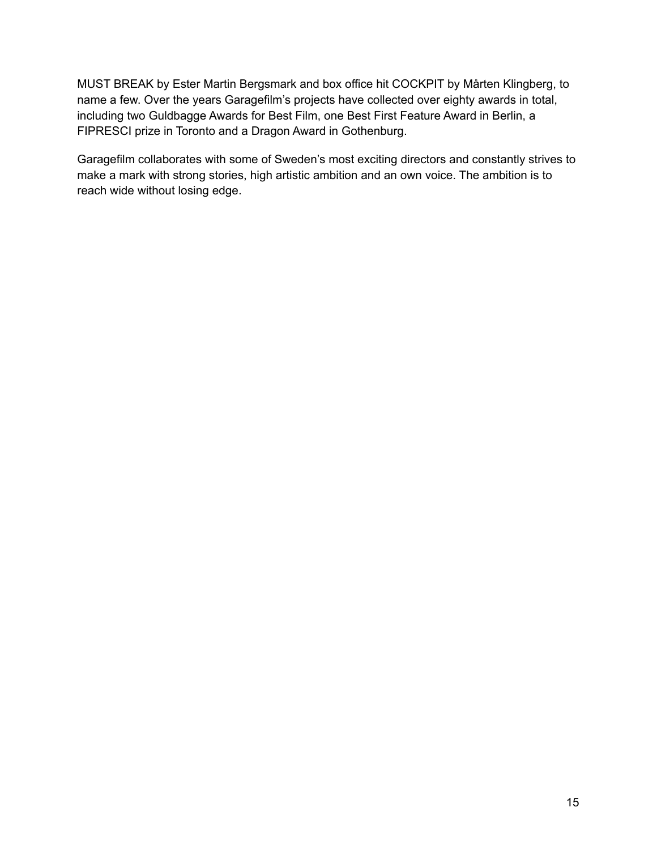MUST BREAK by Ester Martin Bergsmark and box office hit COCKPIT by Mårten Klingberg, to name a few. Over the years Garagefilm's projects have collected over eighty awards in total, including two Guldbagge Awards for Best Film, one Best First Feature Award in Berlin, a FIPRESCI prize in Toronto and a Dragon Award in Gothenburg.

Garagefilm collaborates with some of Sweden's most exciting directors and constantly strives to make a mark with strong stories, high artistic ambition and an own voice. The ambition is to reach wide without losing edge.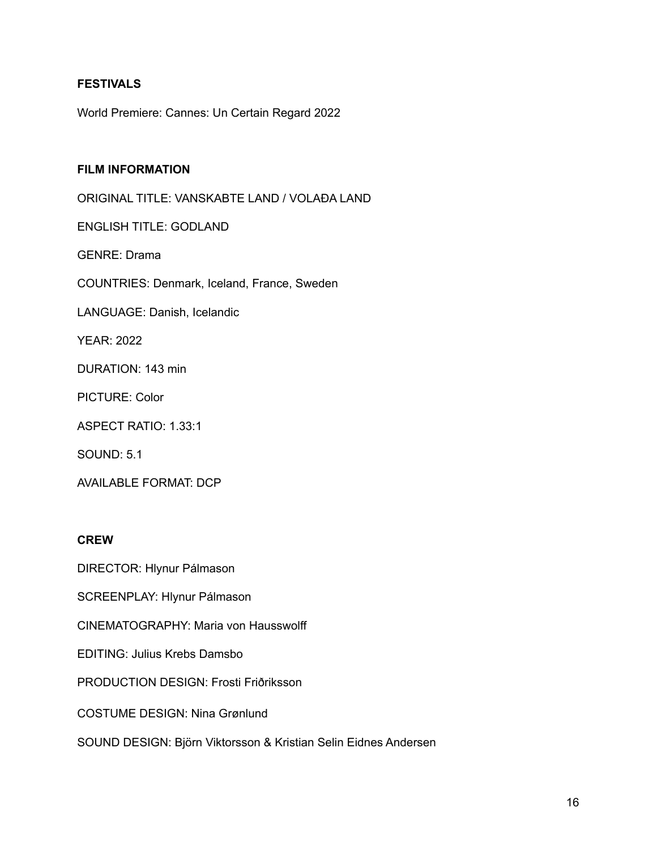# **FESTIVALS**

World Premiere: Cannes: Un Certain Regard 2022

#### **FILM INFORMATION**

ORIGINAL TITLE: VANSKABTE LAND / VOLAÐA LAND

ENGLISH TITLE: GODLAND

GENRE: Drama

COUNTRIES: Denmark, Iceland, France, Sweden

LANGUAGE: Danish, Icelandic

YEAR: 2022

DURATION: 143 min

PICTURE: Color

ASPECT RATIO: 1.33:1

SOUND: 5.1

AVAILABLE FORMAT: DCP

#### **CREW**

DIRECTOR: Hlynur Pálmason

SCREENPLAY: Hlynur Pálmason

CINEMATOGRAPHY: Maria von Hausswolff

EDITING: Julius Krebs Damsbo

PRODUCTION DESIGN: Frosti Friðriksson

COSTUME DESIGN: Nina Grønlund

SOUND DESIGN: Björn Viktorsson & Kristian Selin Eidnes Andersen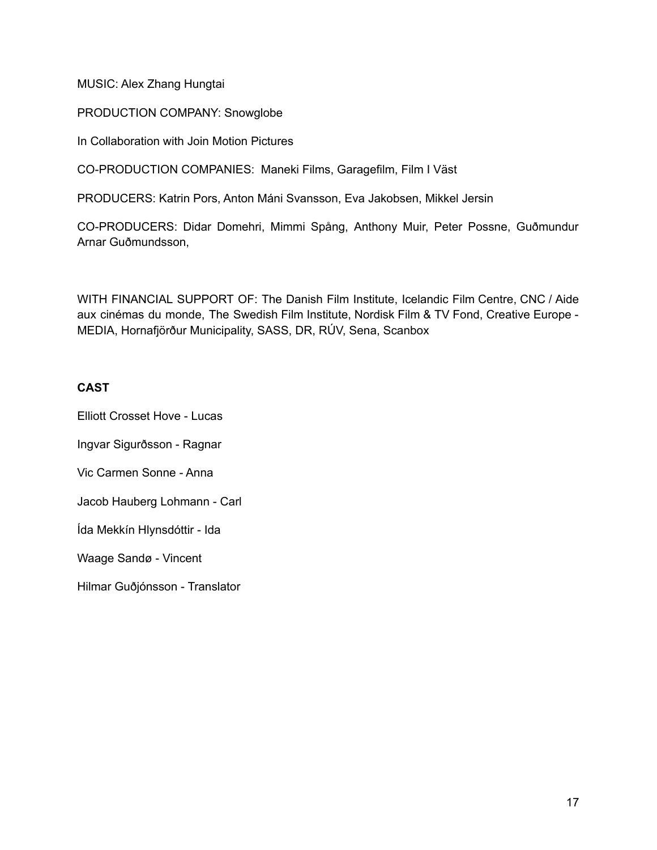MUSIC: Alex Zhang Hungtai

PRODUCTION COMPANY: Snowglobe

In Collaboration with Join Motion Pictures

CO-PRODUCTION COMPANIES: Maneki Films, Garagefilm, Film I Väst

PRODUCERS: Katrin Pors, Anton Máni Svansson, Eva Jakobsen, Mikkel Jersin

CO-PRODUCERS: Didar Domehri, Mimmi Spång, Anthony Muir, Peter Possne, Guðmundur Arnar Guðmundsson,

WITH FINANCIAL SUPPORT OF: The Danish Film Institute, Icelandic Film Centre, CNC / Aide aux cinémas du monde, The Swedish Film Institute, Nordisk Film & TV Fond, Creative Europe - MEDIA, Hornafjörður Municipality, SASS, DR, RÚV, Sena, Scanbox

#### **CAST**

Elliott Crosset Hove - Lucas Ingvar Sigurðsson - Ragnar Vic Carmen Sonne - Anna Jacob Hauberg Lohmann - Carl Ída Mekkín Hlynsdóttir - Ida Waage Sandø - Vincent Hilmar Guðjónsson - Translator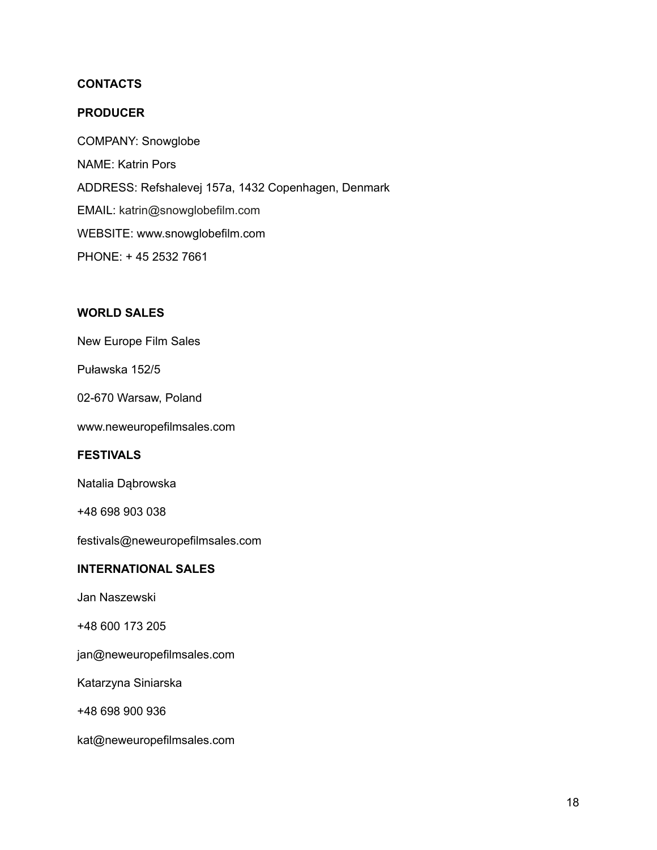# **CONTACTS**

#### **PRODUCER**

COMPANY: Snowglobe NAME: Katrin Pors ADDRESS: Refshalevej 157a, 1432 Copenhagen, Denmark EMAIL: katrin@snowglobefilm.com WEBSITE: www.snowglobefilm.com PHONE: + 45 2532 7661

#### **WORLD SALES**

New Europe Film Sales

Puławska 152/5

02-670 Warsaw, Poland

www.neweuropefilmsales.com

#### **FESTIVALS**

Natalia Dąbrowska

+48 698 903 038

festivals@neweuropefilmsales.com

# **INTERNATIONAL SALES**

Jan Naszewski

+48 600 173 205

jan@neweuropefilmsales.com

Katarzyna Siniarska

+48 698 900 936

kat@neweuropefilmsales.com